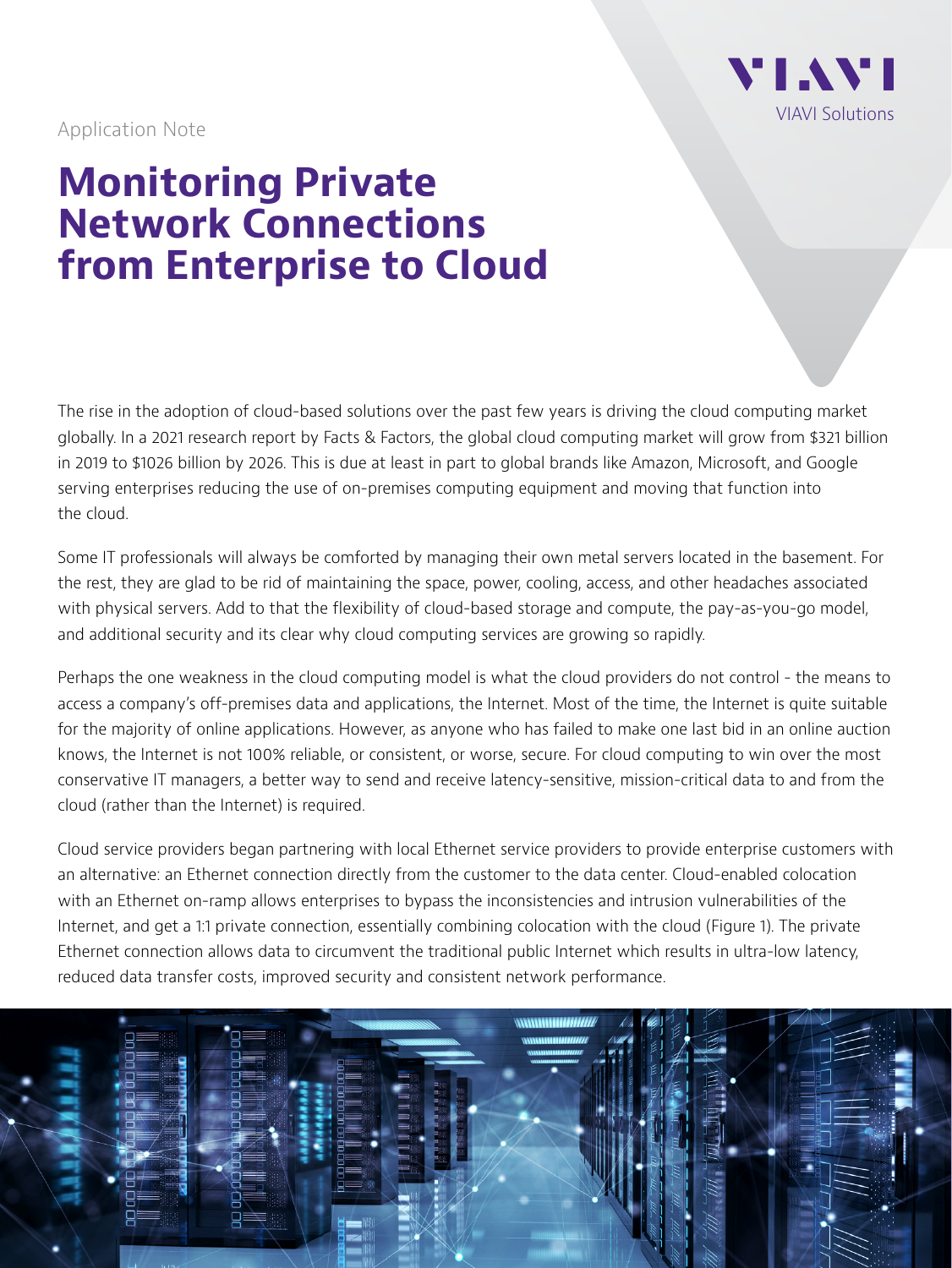

Application Note

## **Monitoring Private Network Connections from Enterprise to Cloud**

The rise in the adoption of cloud-based solutions over the past few years is driving the cloud computing market globally. In a 2021 research report by Facts & Factors, the global cloud computing market will grow from \$321 billion in 2019 to \$1026 billion by 2026. This is due at least in part to global brands like Amazon, Microsoft, and Google serving enterprises reducing the use of on-premises computing equipment and moving that function into the cloud.

Some IT professionals will always be comforted by managing their own metal servers located in the basement. For the rest, they are glad to be rid of maintaining the space, power, cooling, access, and other headaches associated with physical servers. Add to that the flexibility of cloud-based storage and compute, the pay-as-you-go model, and additional security and its clear why cloud computing services are growing so rapidly.

Perhaps the one weakness in the cloud computing model is what the cloud providers do not control - the means to access a company's off-premises data and applications, the Internet. Most of the time, the Internet is quite suitable for the majority of online applications. However, as anyone who has failed to make one last bid in an online auction knows, the Internet is not 100% reliable, or consistent, or worse, secure. For cloud computing to win over the most conservative IT managers, a better way to send and receive latency-sensitive, mission-critical data to and from the cloud (rather than the Internet) is required.

Cloud service providers began partnering with local Ethernet service providers to provide enterprise customers with an alternative: an Ethernet connection directly from the customer to the data center. Cloud-enabled colocation with an Ethernet on-ramp allows enterprises to bypass the inconsistencies and intrusion vulnerabilities of the Internet, and get a 1:1 private connection, essentially combining colocation with the cloud (Figure 1). The private Ethernet connection allows data to circumvent the traditional public Internet which results in ultra-low latency, reduced data transfer costs, improved security and consistent network performance.

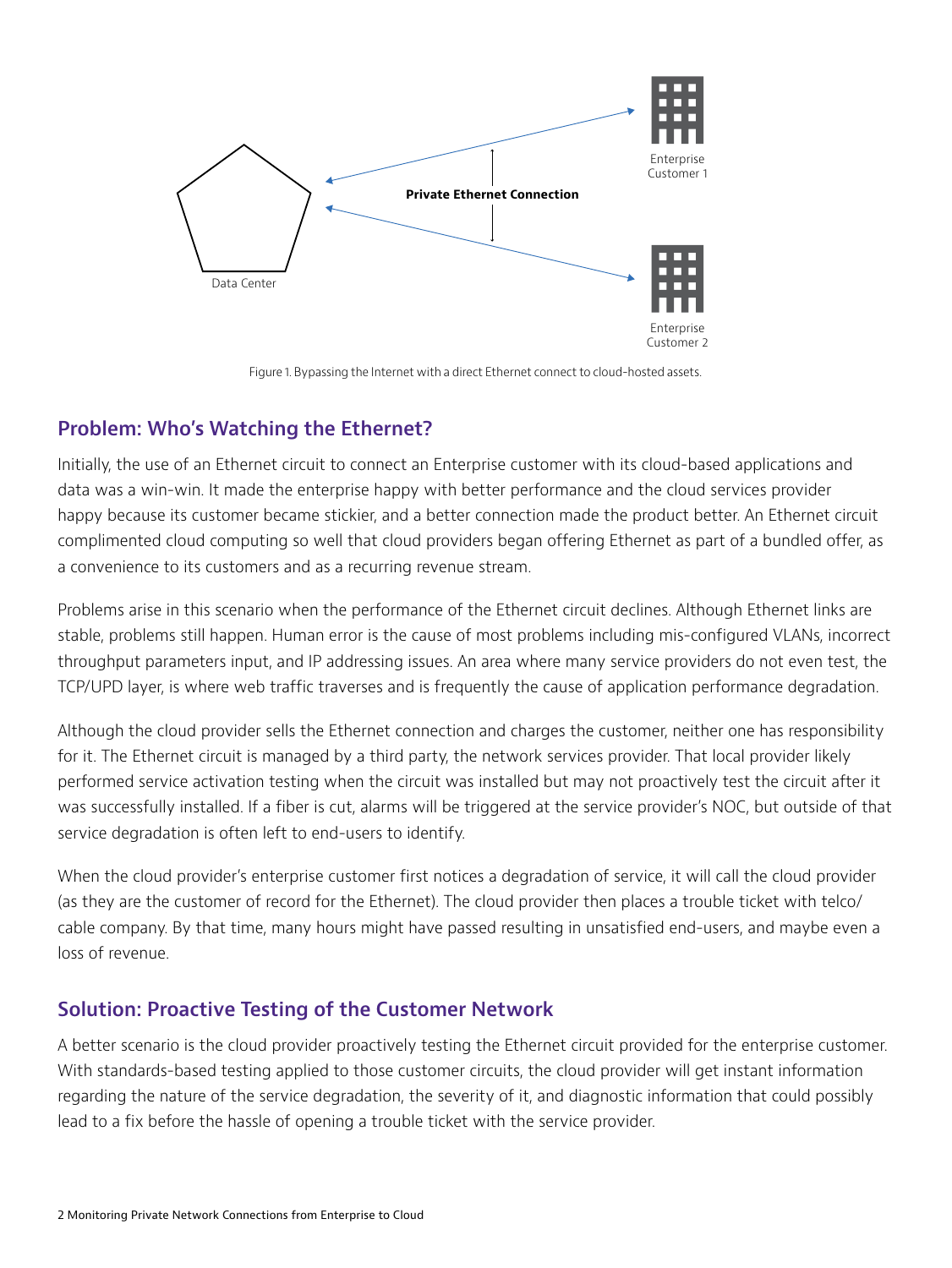

Figure 1. Bypassing the Internet with a direct Ethernet connect to cloud-hosted assets.

## **Problem: Who's Watching the Ethernet?**

Initially, the use of an Ethernet circuit to connect an Enterprise customer with its cloud-based applications and data was a win-win. It made the enterprise happy with better performance and the cloud services provider happy because its customer became stickier, and a better connection made the product better. An Ethernet circuit complimented cloud computing so well that cloud providers began offering Ethernet as part of a bundled offer, as a convenience to its customers and as a recurring revenue stream.

Problems arise in this scenario when the performance of the Ethernet circuit declines. Although Ethernet links are stable, problems still happen. Human error is the cause of most problems including mis-configured VLANs, incorrect throughput parameters input, and IP addressing issues. An area where many service providers do not even test, the TCP/UPD layer, is where web traffic traverses and is frequently the cause of application performance degradation.

Although the cloud provider sells the Ethernet connection and charges the customer, neither one has responsibility for it. The Ethernet circuit is managed by a third party, the network services provider. That local provider likely performed service activation testing when the circuit was installed but may not proactively test the circuit after it was successfully installed. If a fiber is cut, alarms will be triggered at the service provider's NOC, but outside of that service degradation is often left to end-users to identify.

When the cloud provider's enterprise customer first notices a degradation of service, it will call the cloud provider (as they are the customer of record for the Ethernet). The cloud provider then places a trouble ticket with telco/ cable company. By that time, many hours might have passed resulting in unsatisfied end-users, and maybe even a loss of revenue.

## **Solution: Proactive Testing of the Customer Network**

A better scenario is the cloud provider proactively testing the Ethernet circuit provided for the enterprise customer. With standards-based testing applied to those customer circuits, the cloud provider will get instant information regarding the nature of the service degradation, the severity of it, and diagnostic information that could possibly lead to a fix before the hassle of opening a trouble ticket with the service provider.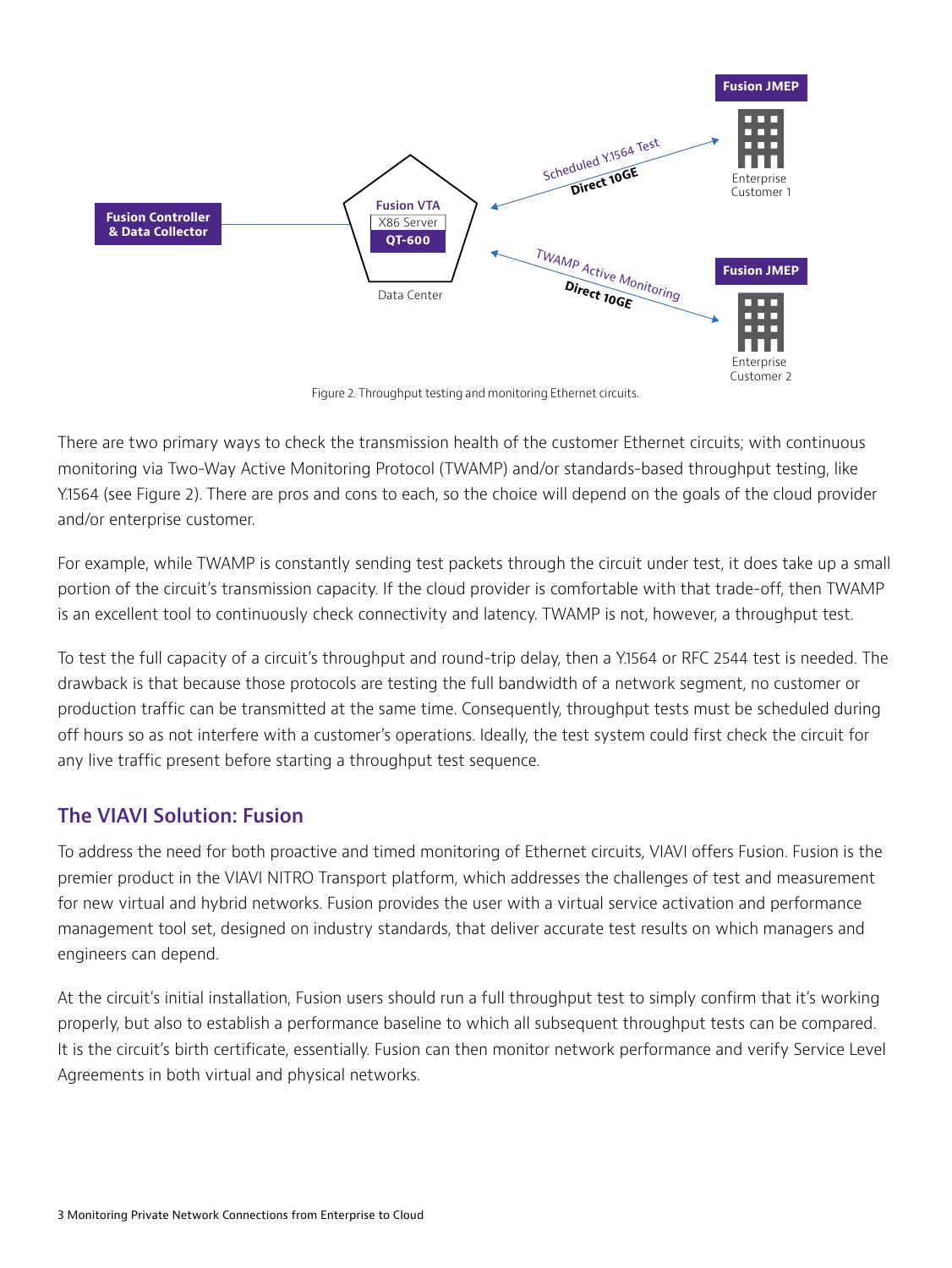

Figure 2. Throughput testing and monitoring Ethernet circuits.

There are two primary ways to check the transmission health of the customer Ethernet circuits; with continuous monitoring via Two-Way Active Monitoring Protocol (TWAMP) and/or standards-based throughput testing, like Y.1564 (see Figure 2). There are pros and cons to each, so the choice will depend on the goals of the cloud provider and/or enterprise customer.

For example, while TWAMP is constantly sending test packets through the circuit under test, it does take up a small portion of the circuit's transmission capacity. If the cloud provider is comfortable with that trade-off, then TWAMP is an excellent tool to continuously check connectivity and latency. TWAMP is not, however, a throughput test.

To test the full capacity of a circuit's throughput and round-trip delay, then a Y.1564 or RFC 2544 test is needed. The drawback is that because those protocols are testing the full bandwidth of a network segment, no customer or production traffic can be transmitted at the same time. Consequently, throughput tests must be scheduled during off hours so as not interfere with a customer's operations. Ideally, the test system could first check the circuit for any live traffic present before starting a throughput test sequence.

## **The VIAVI Solution: Fusion**

To address the need for both proactive and timed monitoring of Ethernet circuits, VIAVI offers Fusion. Fusion is the premier product in the VIAVI NITRO Transport platform, which addresses the challenges of test and measurement for new virtual and hybrid networks. Fusion provides the user with a virtual service activation and performance management tool set, designed on industry standards, that deliver accurate test results on which managers and engineers can depend.

At the circuit's initial installation, Fusion users should run a full throughput test to simply confirm that it's working properly, but also to establish a performance baseline to which all subsequent throughput tests can be compared. It is the circuit's birth certificate, essentially. Fusion can then monitor network performance and verify Service Level Agreements in both virtual and physical networks.